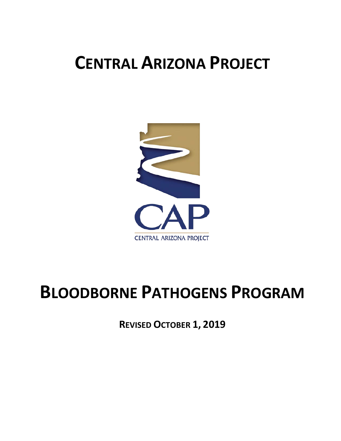# **CENTRAL ARIZONA PROJECT**



# **BLOODBORNE PATHOGENS PROGRAM**

**REVISED OCTOBER 1, 2019**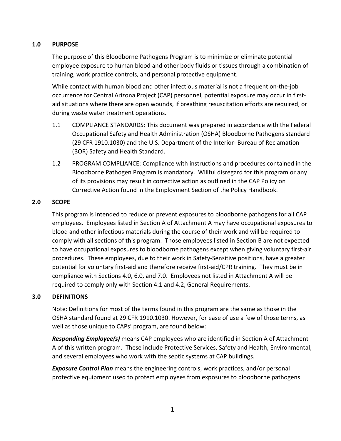## **1.0 PURPOSE**

The purpose of this Bloodborne Pathogens Program is to minimize or eliminate potential employee exposure to human blood and other body fluids or tissues through a combination of training, work practice controls, and personal protective equipment.

While contact with human blood and other infectious material is not a frequent on-the-job occurrence for Central Arizona Project (CAP) personnel, potential exposure may occur in firstaid situations where there are open wounds, if breathing resuscitation efforts are required, or during waste water treatment operations.

- 1.1 COMPLIANCE STANDARDS: This document was prepared in accordance with the Federal Occupational Safety and Health Administration (OSHA) Bloodborne Pathogens standard (29 CFR 1910.1030) and the U.S. Department of the Interior- Bureau of Reclamation (BOR) Safety and Health Standard.
- 1.2 PROGRAM COMPLIANCE: Compliance with instructions and procedures contained in the Bloodborne Pathogen Program is mandatory. Willful disregard for this program or any of its provisions may result in corrective action as outlined in the CAP Policy on Corrective Action found in the Employment Section of the Policy Handbook.

## **2.0 SCOPE**

This program is intended to reduce or prevent exposures to bloodborne pathogens for all CAP employees. Employees listed in Section A of Attachment A may have occupational exposures to blood and other infectious materials during the course of their work and will be required to comply with all sections of this program. Those employees listed in Section B are not expected to have occupational exposures to bloodborne pathogens except when giving voluntary first-air procedures. These employees, due to their work in Safety-Sensitive positions, have a greater potential for voluntary first-aid and therefore receive first-aid/CPR training. They must be in compliance with Sections 4.0, 6.0, and 7.0. Employees not listed in Attachment A will be required to comply only with Section 4.1 and 4.2, General Requirements.

## **3.0 DEFINITIONS**

Note: Definitions for most of the terms found in this program are the same as those in the OSHA standard found at 29 CFR 1910.1030. However, for ease of use a few of those terms, as well as those unique to CAPs' program, are found below:

*Responding Employee(s)* means CAP employees who are identified in Section A of Attachment A of this written program. These include Protective Services, Safety and Health, Environmental, and several employees who work with the septic systems at CAP buildings.

*Exposure Control Plan* means the engineering controls, work practices, and/or personal protective equipment used to protect employees from exposures to bloodborne pathogens.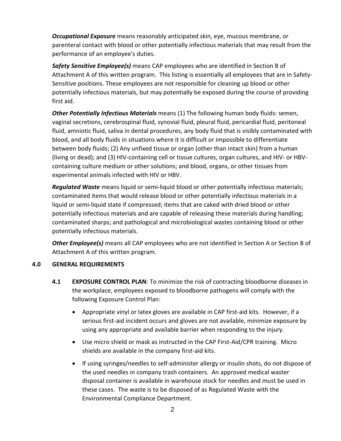*Occupational Exposure* means reasonably anticipated skin, eye, mucous membrane, or parenteral contact with blood or other potentially infectious materials that may result from the performance of an employee's duties.

*Safety Sensitive Employee(s)* means CAP employees who are identified in Section B of Attachment A of this written program. This listing is essentially all employees that are in Safety-Sensitive positions. These employees are not responsible for cleaning up blood or other potentially infectious materials, but may potentially be exposed during the course of providing first aid.

*Other Potentially Infectious Materials* means (1) The following human body fluids: semen, vaginal secretions, cerebrospinal fluid, synovial fluid, pleural fluid, pericardial fluid, peritoneal fluid, amniotic fluid, saliva in dental procedures, any body fluid that is visibly contaminated with blood, and all body fluids in situations where it is difficult or impossible to differentiate between body fluids; (2) Any unfixed tissue or organ (other than intact skin) from a human (living or dead); and (3) HIV-containing cell or tissue cultures, organ cultures, and HIV- or HBVcontaining culture medium or other solutions; and blood, organs, or other tissues from experimental animals infected with HIV or HBV.

*Regulated Waste* means liquid or semi-liquid blood or other potentially infectious materials; contaminated items that would release blood or other potentially infectious materials in a liquid or semi-liquid state if compressed; items that are caked with dried blood or other potentially infectious materials and are capable of releasing these materials during handling; contaminated sharps; and pathological and microbiological wastes containing blood or other potentially infectious materials.

*Other Employee(s)* means all CAP employees who are not identified in Section A or Section B of Attachment A of this written program.

## **4.0 GENERAL REQUIREMENTS**

- **4.1 EXPOSURE CONTROL PLAN**: To minimize the risk of contracting bloodborne diseases in the workplace, employees exposed to bloodborne pathogens will comply with the following Exposure Control Plan:
	- Appropriate vinyl or latex gloves are available in CAP first-aid kits. However, if a serious first-aid incident occurs and gloves are not available, minimize exposure by using any appropriate and available barrier when responding to the injury.
	- Use micro shield or mask as instructed in the CAP First-Aid/CPR training. Micro shields are available in the company first-aid kits.
	- If using syringes/needles to self-administer allergy or insulin shots, do not dispose of the used needles in company trash containers. An approved medical waster disposal container is available in warehouse stock for needles and must be used in these cases. The waste is to be disposed of as Regulated Waste with the Environmental Compliance Department.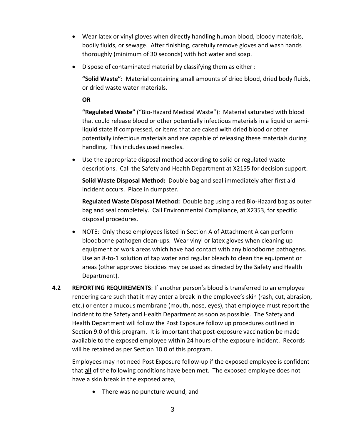- Wear latex or vinyl gloves when directly handling human blood, bloody materials, bodily fluids, or sewage. After finishing, carefully remove gloves and wash hands thoroughly (minimum of 30 seconds) with hot water and soap.
- Dispose of contaminated material by classifying them as either :

**"Solid Waste":** Material containing small amounts of dried blood, dried body fluids, or dried waste water materials.

**OR**

**"Regulated Waste"** ("Bio-Hazard Medical Waste"): Material saturated with blood that could release blood or other potentially infectious materials in a liquid or semiliquid state if compressed, or items that are caked with dried blood or other potentially infectious materials and are capable of releasing these materials during handling. This includes used needles.

• Use the appropriate disposal method according to solid or regulated waste descriptions. Call the Safety and Health Department at X2155 for decision support.

**Solid Waste Disposal Method:** Double bag and seal immediately after first aid incident occurs. Place in dumpster.

**Regulated Waste Disposal Method:** Double bag using a red Bio-Hazard bag as outer bag and seal completely. Call Environmental Compliance, at X2353, for specific disposal procedures.

- NOTE: Only those employees listed in Section A of Attachment A can perform bloodborne pathogen clean-ups. Wear vinyl or latex gloves when cleaning up equipment or work areas which have had contact with any bloodborne pathogens. Use an 8-to-1 solution of tap water and regular bleach to clean the equipment or areas (other approved biocides may be used as directed by the Safety and Health Department).
- **4.2 REPORTING REQUIREMENTS**: If another person's blood is transferred to an employee rendering care such that it may enter a break in the employee's skin (rash, cut, abrasion, etc.) or enter a mucous membrane (mouth, nose, eyes), that employee must report the incident to the Safety and Health Department as soon as possible. The Safety and Health Department will follow the Post Exposure follow up procedures outlined in Section 9.0 of this program. It is important that post-exposure vaccination be made available to the exposed employee within 24 hours of the exposure incident. Records will be retained as per Section 10.0 of this program.

Employees may not need Post Exposure follow-up if the exposed employee is confident that **all** of the following conditions have been met. The exposed employee does not have a skin break in the exposed area,

• There was no puncture wound, and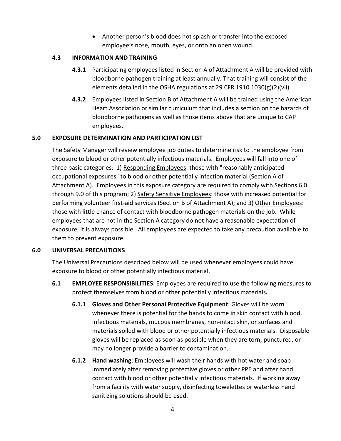• Another person's blood does not splash or transfer into the exposed employee's nose, mouth, eyes, or onto an open wound.

## **4.3 INFORMATION AND TRAINING**

- **4.3.1** Participating employees listed in Section A of Attachment A will be provided with bloodborne pathogen training at least annually. That training will consist of the elements detailed in the OSHA regulations at 29 CFR 1910.1030(g)(2)(vii).
- **4.3.2** Employees listed in Section B of Attachment A will be trained using the American Heart Association or similar curriculum that includes a section on the hazards of bloodborne pathogens as well as those items above that are unique to CAP employees.

## **5.0 EXPOSURE DETERMINATION AND PARTICIPATION LIST**

The Safety Manager will review employee job duties to determine risk to the employee from exposure to blood or other potentially infectious materials. Employees will fall into one of three basic categories: 1) Responding Employees: those with "reasonably anticipated occupational exposures" to blood or other potentially infection material (Section A of Attachment A). Employees in this exposure category are required to comply with Sections 6.0 through 9.0 of this program; 2) Safety Sensitive Employees: those with increased potential for performing volunteer first-aid services (Section B of Attachment A); and 3) Other Employees: those with little chance of contact with bloodborne pathogen materials on the job. While employees that are not in the Section A category do not have a reasonable expectation of exposure, it is always possible. All employees are expected to take any precaution available to them to prevent exposure.

## **6.0 UNIVERSAL PRECAUTIONS**

The Universal Precautions described below will be used whenever employees could have exposure to blood or other potentially infectious material.

- **6.1 EMPLOYEE RESPONSIBILITIES**: Employees are required to use the following measures to protect themselves from blood or other potentially infectious materials**.**
	- **6.1.1 Gloves and Other Personal Protective Equipment**: Gloves will be worn whenever there is potential for the hands to come in skin contact with blood, infectious materials, mucous membranes, non-intact skin, or surfaces and materials soiled with blood or other potentially infectious materials. Disposable gloves will be replaced as soon as possible when they are torn, punctured, or may no longer provide a barrier to contamination.
	- **6.1.2 Hand washing**: Employees will wash their hands with hot water and soap immediately after removing protective gloves or other PPE and after hand contact with blood or other potentially infectious materials. If working away from a facility with water supply, disinfecting towelettes or waterless hand sanitizing solutions should be used.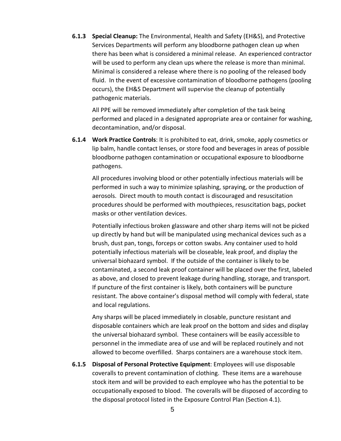**6.1.3 Special Cleanup:** The Environmental, Health and Safety (EH&S), and Protective Services Departments will perform any bloodborne pathogen clean up when there has been what is considered a minimal release. An experienced contractor will be used to perform any clean ups where the release is more than minimal. Minimal is considered a release where there is no pooling of the released body fluid. In the event of excessive contamination of bloodborne pathogens (pooling occurs), the EH&S Department will supervise the cleanup of potentially pathogenic materials.

All PPE will be removed immediately after completion of the task being performed and placed in a designated appropriate area or container for washing, decontamination, and/or disposal.

**6.1.4 Work Practice Controls**: It is prohibited to eat, drink, smoke, apply cosmetics or lip balm, handle contact lenses, or store food and beverages in areas of possible bloodborne pathogen contamination or occupational exposure to bloodborne pathogens.

All procedures involving blood or other potentially infectious materials will be performed in such a way to minimize splashing, spraying, or the production of aerosols. Direct mouth to mouth contact is discouraged and resuscitation procedures should be performed with mouthpieces, resuscitation bags, pocket masks or other ventilation devices.

Potentially infectious broken glassware and other sharp items will not be picked up directly by hand but will be manipulated using mechanical devices such as a brush, dust pan, tongs, forceps or cotton swabs. Any container used to hold potentially infectious materials will be closeable, leak proof, and display the universal biohazard symbol. If the outside of the container is likely to be contaminated, a second leak proof container will be placed over the first, labeled as above, and closed to prevent leakage during handling, storage, and transport. If puncture of the first container is likely, both containers will be puncture resistant. The above container's disposal method will comply with federal, state and local regulations.

Any sharps will be placed immediately in closable, puncture resistant and disposable containers which are leak proof on the bottom and sides and display the universal biohazard symbol. These containers will be easily accessible to personnel in the immediate area of use and will be replaced routinely and not allowed to become overfilled. Sharps containers are a warehouse stock item.

**6.1.5 Disposal of Personal Protective Equipment**: Employees will use disposable coveralls to prevent contamination of clothing. These items are a warehouse stock item and will be provided to each employee who has the potential to be occupationally exposed to blood. The coveralls will be disposed of according to the disposal protocol listed in the Exposure Control Plan (Section 4.1).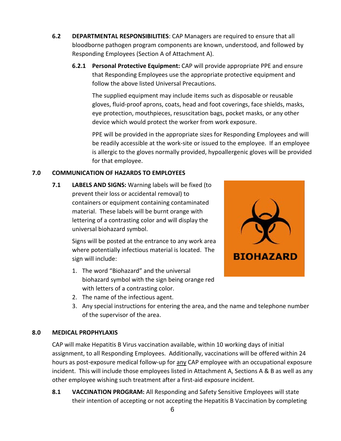- **6.2 DEPARTMENTAL RESPONSIBILITIES**: CAP Managers are required to ensure that all bloodborne pathogen program components are known, understood, and followed by Responding Employees (Section A of Attachment A).
	- **6.2.1 Personal Protective Equipment:** CAP will provide appropriate PPE and ensure that Responding Employees use the appropriate protective equipment and follow the above listed Universal Precautions.

The supplied equipment may include items such as disposable or reusable gloves, fluid-proof aprons, coats, head and foot coverings, face shields, masks, eye protection, mouthpieces, resuscitation bags, pocket masks, or any other device which would protect the worker from work exposure.

PPE will be provided in the appropriate sizes for Responding Employees and will be readily accessible at the work-site or issued to the employee. If an employee is allergic to the gloves normally provided, hypoallergenic gloves will be provided for that employee.

# **7.0 COMMUNICATION OF HAZARDS TO EMPLOYEES**

**7.1 LABELS AND SIGNS:** Warning labels will be fixed (to prevent their loss or accidental removal) to containers or equipment containing contaminated material. These labels will be burnt orange with lettering of a contrasting color and will display the universal biohazard symbol.

> Signs will be posted at the entrance to any work area where potentially infectious material is located. The sign will include:

- 1. The word "Biohazard" and the universal biohazard symbol with the sign being orange red with letters of a contrasting color.
- 2. The name of the infectious agent.
- 3. Any special instructions for entering the area, and the name and telephone number of the supervisor of the area.

# **8.0 MEDICAL PROPHYLAXIS**

CAP will make Hepatitis B Virus vaccination available, within 10 working days of initial assignment, to all Responding Employees. Additionally, vaccinations will be offered within 24 hours as post-exposure medical follow-up for any CAP employee with an occupational exposure incident. This will include those employees listed in Attachment A, Sections A & B as well as any other employee wishing such treatment after a first-aid exposure incident.

**8.1 VACCINATION PROGRAM:** All Responding and Safety Sensitive Employees will state their intention of accepting or not accepting the Hepatitis B Vaccination by completing

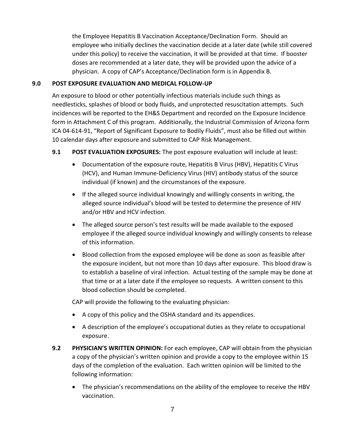the Employee Hepatitis B Vaccination Acceptance/Declination Form. Should an employee who initially declines the vaccination decide at a later date (while still covered under this policy) to receive the vaccination, it will be provided at that time. If booster doses are recommended at a later date, they will be provided upon the advice of a physician. A copy of CAP's Acceptance/Declination form is in Appendix B.

## **9.0 POST EXPOSURE EVALUATION AND MEDICAL FOLLOW-UP**

An exposure to blood or other potentially infectious materials include such things as needlesticks, splashes of blood or body fluids, and unprotected resuscitation attempts. Such incidences will be reported to the EH&S Department and recorded on the Exposure Incidence form in Attachment C of this program. Additionally, the Industrial Commission of Arizona form ICA 04-614-91, "Report of Significant Exposure to Bodily Fluids", must also be filled out within 10 calendar days after exposure and submitted to CAP Risk Management.

## **9.1 POST EVALUATION EXPOSURES:** The post exposure evaluation will include at least:

- Documentation of the exposure route, Hepatitis B Virus (HBV), Hepatitis C Virus (HCV), and Human Immune-Deficiency Virus (HIV) antibody status of the source individual (if known) and the circumstances of the exposure.
- If the alleged source individual knowingly and willingly consents in writing, the alleged source individual's blood will be tested to determine the presence of HIV and/or HBV and HCV infection.
- The alleged source person's test results will be made available to the exposed employee if the alleged source individual knowingly and willingly consents to release of this information.
- Blood collection from the exposed employee will be done as soon as feasible after the exposure incident, but not more than 10 days after exposure. This blood draw is to establish a baseline of viral infection. Actual testing of the sample may be done at that time or at a later date if the employee so requests. A written consent to this blood collection should be completed.

CAP will provide the following to the evaluating physician:

- A copy of this policy and the OSHA standard and its appendices.
- A description of the employee's occupational duties as they relate to occupational exposure.
- **9.2 PHYSICIAN'S WRITTEN OPINION:** For each employee, CAP will obtain from the physician a copy of the physician's written opinion and provide a copy to the employee within 15 days of the completion of the evaluation. Each written opinion will be limited to the following information:
	- The physician's recommendations on the ability of the employee to receive the HBV vaccination.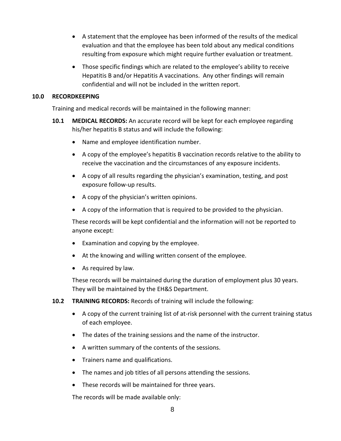- A statement that the employee has been informed of the results of the medical evaluation and that the employee has been told about any medical conditions resulting from exposure which might require further evaluation or treatment.
- Those specific findings which are related to the employee's ability to receive Hepatitis B and/or Hepatitis A vaccinations. Any other findings will remain confidential and will not be included in the written report.

#### **10.0 RECORDKEEPING**

Training and medical records will be maintained in the following manner:

- **10.1 MEDICAL RECORDS:** An accurate record will be kept for each employee regarding his/her hepatitis B status and will include the following:
	- Name and employee identification number.
	- A copy of the employee's hepatitis B vaccination records relative to the ability to receive the vaccination and the circumstances of any exposure incidents.
	- A copy of all results regarding the physician's examination, testing, and post exposure follow-up results.
	- A copy of the physician's written opinions.
	- A copy of the information that is required to be provided to the physician.

These records will be kept confidential and the information will not be reported to anyone except:

- Examination and copying by the employee.
- At the knowing and willing written consent of the employee.
- As required by law.

These records will be maintained during the duration of employment plus 30 years. They will be maintained by the EH&S Department.

**10.2 TRAINING RECORDS:** Records of training will include the following:

- A copy of the current training list of at-risk personnel with the current training status of each employee.
- The dates of the training sessions and the name of the instructor.
- A written summary of the contents of the sessions.
- Trainers name and qualifications.
- The names and job titles of all persons attending the sessions.
- These records will be maintained for three years.

The records will be made available only: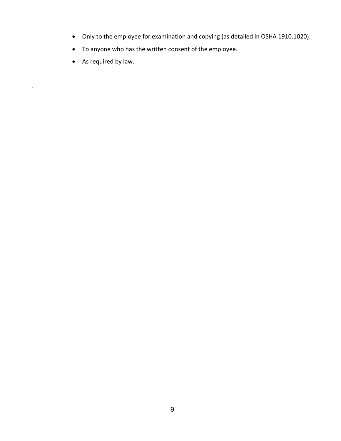- Only to the employee for examination and copying (as detailed in OSHA 1910.1020).
- To anyone who has the written consent of the employee.
- As required by law.

.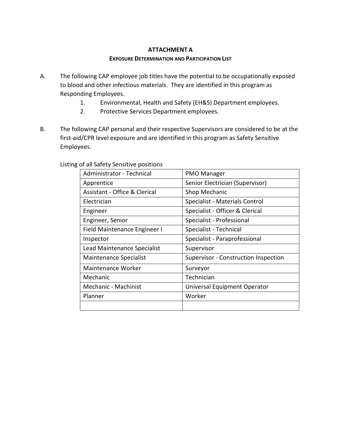## **ATTACHMENT A**

#### **EXPOSURE DETERMINATION AND PARTICIPATION LIST**

- A. The following CAP employee job titles have the potential to be occupationally exposed to blood and other infectious materials. They are identified in this program as Responding Employees.
	- 1. Environmental, Health and Safety (EH&S) Department employees.
	- 2. Protective Services Department employees.
- B. The following CAP personal and their respective Supervisors are considered to be at the first-aid/CPR level exposure and are identified in this program as Safety Sensitive Employees.

| Administrator - Technical                | <b>PMO Manager</b>                   |  |  |
|------------------------------------------|--------------------------------------|--|--|
| Apprentice                               | Senior Electrician (Supervisor)      |  |  |
| <b>Assistant - Office &amp; Clerical</b> | Shop Mechanic                        |  |  |
| Electrician                              | Specialist - Materials Control       |  |  |
| Engineer                                 | Specialist - Officer & Clerical      |  |  |
| Engineer, Senior                         | Specialist - Professional            |  |  |
| Field Maintenance Engineer I             | Specialist - Technical               |  |  |
| Inspector                                | Specialist - Paraprofessional        |  |  |
| Lead Maintenance Specialist              | Supervisor                           |  |  |
| <b>Maintenance Specialist</b>            | Supervisor - Construction Inspection |  |  |
| Maintenance Worker                       | Surveyor                             |  |  |
| Mechanic                                 | Technician                           |  |  |
| Mechanic - Machinist                     | Universal Equipment Operator         |  |  |
| Planner                                  | Worker                               |  |  |
|                                          |                                      |  |  |

## Listing of all Safety Sensitive positions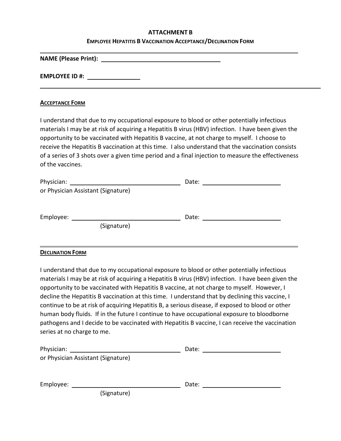#### **ATTACHMENT B**

#### **EMPLOYEE HEPATITIS B VACCINATION ACCEPTANCE/DECLINATION FORM**

**NAME (Please Print):** 

**EMPLOYEE ID #:** 

#### **ACCEPTANCE FORM**

I understand that due to my occupational exposure to blood or other potentially infectious materials I may be at risk of acquiring a Hepatitis B virus (HBV) infection. I have been given the opportunity to be vaccinated with Hepatitis B vaccine, at not charge to myself. I choose to receive the Hepatitis B vaccination at this time. I also understand that the vaccination consists of a series of 3 shots over a given time period and a final injection to measure the effectiveness of the vaccines.

| Physician: |                                    | Date: |  |
|------------|------------------------------------|-------|--|
|            | or Physician Assistant (Signature) |       |  |
|            |                                    |       |  |
| Employee:  |                                    | Date: |  |
|            | (Signature)                        |       |  |
|            |                                    |       |  |

#### **DECLINATION FORM**

I understand that due to my occupational exposure to blood or other potentially infectious materials I may be at risk of acquiring a Hepatitis B virus (HBV) infection. I have been given the opportunity to be vaccinated with Hepatitis B vaccine, at not charge to myself. However, I decline the Hepatitis B vaccination at this time. I understand that by declining this vaccine, I continue to be at risk of acquiring Hepatitis B, a serious disease, if exposed to blood or other human body fluids. If in the future I continue to have occupational exposure to bloodborne pathogens and I decide to be vaccinated with Hepatitis B vaccine, I can receive the vaccination series at no charge to me.

| Physician: |                                    | Date: |  |
|------------|------------------------------------|-------|--|
|            | or Physician Assistant (Signature) |       |  |
|            |                                    |       |  |
|            |                                    |       |  |
| Employee:  |                                    | Date: |  |
|            | (Signature)                        |       |  |